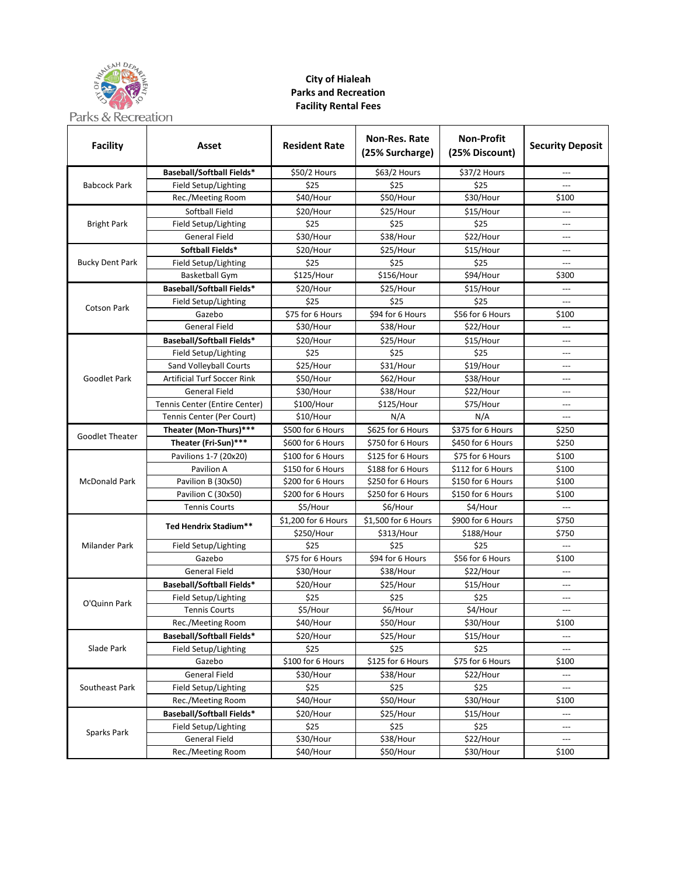

## **City of Hialeah Parks and Recreation Facility Rental Fees**

Parks & Recreation

| <b>Facility</b>        | <b>Asset</b>                       | <b>Resident Rate</b> | Non-Res. Rate<br>(25% Surcharge) | <b>Non-Profit</b><br>(25% Discount) | <b>Security Deposit</b> |
|------------------------|------------------------------------|----------------------|----------------------------------|-------------------------------------|-------------------------|
| <b>Babcock Park</b>    | <b>Baseball/Softball Fields*</b>   | \$50/2 Hours         | \$63/2 Hours                     | \$37/2 Hours                        | ---                     |
|                        | Field Setup/Lighting               | \$25                 | \$25                             | \$25                                |                         |
|                        | Rec./Meeting Room                  | \$40/Hour            | \$50/Hour                        | \$30/Hour                           | \$100                   |
| <b>Bright Park</b>     | Softball Field                     | \$20/Hour            | \$25/Hour                        | \$15/Hour                           | $---$                   |
|                        | Field Setup/Lighting               | \$25                 | \$25                             | \$25                                | ---                     |
|                        | <b>General Field</b>               | \$30/Hour            | \$38/Hour                        | \$22/Hour                           | ---                     |
| <b>Bucky Dent Park</b> | Softball Fields*                   | \$20/Hour            | \$25/Hour                        | \$15/Hour                           | ---                     |
|                        | Field Setup/Lighting               | \$25                 | \$25                             | \$25                                | ---                     |
|                        | <b>Basketball Gym</b>              | \$125/Hour           | \$156/Hour                       | \$94/Hour                           | \$300                   |
|                        | <b>Baseball/Softball Fields*</b>   | \$20/Hour            | \$25/Hour                        | \$15/Hour                           | ---                     |
|                        | Field Setup/Lighting               | \$25                 | \$25                             | \$25                                | ---                     |
| <b>Cotson Park</b>     | Gazebo                             | \$75 for 6 Hours     | \$94 for 6 Hours                 | \$56 for 6 Hours                    | \$100                   |
|                        | <b>General Field</b>               | \$30/Hour            | \$38/Hour                        | \$22/Hour                           | ---                     |
|                        | <b>Baseball/Softball Fields*</b>   | \$20/Hour            | \$25/Hour                        | \$15/Hour                           | ---                     |
|                        | Field Setup/Lighting               | \$25                 | \$25                             | \$25                                | ---                     |
|                        | <b>Sand Volleyball Courts</b>      | \$25/Hour            | \$31/Hour                        | \$19/Hour                           | ---                     |
| <b>Goodlet Park</b>    | <b>Artificial Turf Soccer Rink</b> | \$50/Hour            | \$62/Hour                        | \$38/Hour                           | ---                     |
|                        | <b>General Field</b>               | \$30/Hour            | \$38/Hour                        | \$22/Hour                           | ---                     |
|                        | Tennis Center (Entire Center)      | \$100/Hour           | \$125/Hour                       | \$75/Hour                           | ---                     |
|                        | Tennis Center (Per Court)          | \$10/Hour            | N/A                              | N/A                                 | ---                     |
| <b>Goodlet Theater</b> | Theater (Mon-Thurs)***             | \$500 for 6 Hours    | \$625 for 6 Hours                | \$375 for 6 Hours                   | \$250                   |
|                        | Theater (Fri-Sun)***               | \$600 for 6 Hours    | \$750 for 6 Hours                | \$450 for 6 Hours                   | \$250                   |
|                        | Pavilions 1-7 (20x20)              | \$100 for 6 Hours    | \$125 for 6 Hours                | \$75 for 6 Hours                    | \$100                   |
| <b>McDonald Park</b>   | Pavilion A                         | \$150 for 6 Hours    | \$188 for 6 Hours                | \$112 for 6 Hours                   | \$100                   |
|                        | Pavilion B (30x50)                 | \$200 for 6 Hours    | \$250 for 6 Hours                | \$150 for 6 Hours                   | \$100                   |
|                        | Pavilion C (30x50)                 | \$200 for 6 Hours    | \$250 for 6 Hours                | \$150 for 6 Hours                   | \$100                   |
|                        | <b>Tennis Courts</b>               | \$5/Hour             | \$6/Hour                         | \$4/Hour                            | $---$                   |
|                        | Ted Hendrix Stadium**              | \$1,200 for 6 Hours  | \$1,500 for 6 Hours              | \$900 for 6 Hours                   | \$750                   |
|                        |                                    | \$250/Hour           | \$313/Hour                       | \$188/Hour                          | \$750                   |
| Milander Park          | Field Setup/Lighting               | \$25                 | \$25                             | \$25                                |                         |
|                        | Gazebo                             | \$75 for 6 Hours     | \$94 for 6 Hours                 | \$56 for 6 Hours                    | \$100                   |
|                        | <b>General Field</b>               | \$30/Hour            | \$38/Hour                        | \$22/Hour                           | ---                     |
| O'Quinn Park           | <b>Baseball/Softball Fields*</b>   | \$20/Hour            | \$25/Hour                        | \$15/Hour                           | ---                     |
|                        | Field Setup/Lighting               | \$25                 | \$25                             | \$25                                | ---                     |
|                        | <b>Tennis Courts</b>               | \$5/Hour             | \$6/Hour                         | \$4/Hour                            | ---                     |
|                        | Rec./Meeting Room                  | \$40/Hour            | \$50/Hour                        | \$30/Hour                           | \$100                   |
| Slade Park             | <b>Baseball/Softball Fields*</b>   | \$20/Hour            | \$25/Hour                        | \$15/Hour                           | ---                     |
|                        | Field Setup/Lighting               | \$25                 | \$25                             | \$25                                | ---                     |
|                        | Gazebo                             | \$100 for 6 Hours    | \$125 for 6 Hours                | \$75 for 6 Hours                    | \$100                   |
| Southeast Park         | <b>General Field</b>               | \$30/Hour            | \$38/Hour                        | \$22/Hour                           | ---                     |
|                        | Field Setup/Lighting               | \$25                 | \$25                             | \$25                                | ---                     |
|                        | Rec./Meeting Room                  | \$40/Hour            | \$50/Hour                        | \$30/Hour                           | \$100                   |
| Sparks Park            | <b>Baseball/Softball Fields*</b>   | \$20/Hour            | \$25/Hour                        | \$15/Hour                           | ---                     |
|                        | Field Setup/Lighting               | \$25                 | \$25                             | \$25                                | ---                     |
|                        | <b>General Field</b>               | \$30/Hour            | \$38/Hour                        | \$22/Hour                           | ---                     |
|                        | Rec./Meeting Room                  | \$40/Hour            | \$50/Hour                        | \$30/Hour                           | \$100                   |